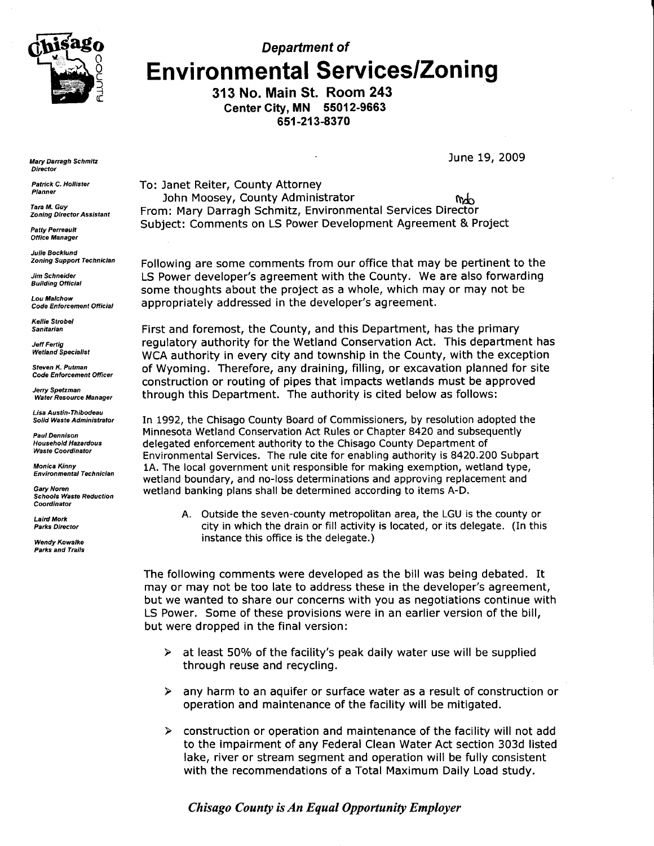

Department of **Environmental Services/Zoning** 

> 313 No. Main St. Room 243 Center City, MN 55012-9663 651-213-8370

> > June 19, 2009

**Mary Darragh Schmitz Director** 

Patrick C. Hollister Planner

**Tara M. Guy** Zoning Director Assistant

Patty Peneault Office Manager

Julie Bocktund Zoning Support Technician

**Jim Schneider Building Official** 

Lou Malchow Code Enforcement Official

Kellie Strobel **Sanitarian** 

Jett Fenig **Wetland Specialist** 

Steven K, Putman Code Enforcement Officer

Jerry Spetzman Water Resource Manager

Lisa Austin-Thibodeau Solid Waste Administrator

Paul Oennison Household Hazardous **Waste Coordinator** 

Monica Kinny<br>Environmental Technician

Gary Noren Schools Waste Reduction Coordinator

Lalrd Mork Parks Director

Wendy Kowalke **Parks and Trails**  To: Janet Reiter, County Attorney John Moosey, County Administrator **hdows** hdow From: Mary Darragh Schmitz, Environmental Services Director Subject: Comments on LS Power Development Agreement & Project

Following are some comments from our office that may be pertinent to the LS Power developer's agreement with the County. We are also forwarding some thoughts about the project as a whole, which may or may not be appropriately addressed in the developer's agreement.

First and foremost, the County, and this Department, has the primary regulatory authority for the Wetland Conservation Act. This department has WCA authority in every city and township in the County, with the exception of Wyoming. Therefore, any draining, filling, or excavation planned for site construction or routing of pipes that impacts wetlands must be approved through this Department. The authority is cited below as follows:

In 1992, the Chisago County Board of Commissioners, by resolution adopted the Minnesota Wetland Conservation Act Rules or Chapter 8420 and subsequently delegated enforcement authority to the Chisago County Department of Environmental Services. The rule cite for enabling authority is 8420.200 Subpart 1A. The local government unit responsible for making exemption, wetland type, wetland boundary, and no-loss determinations and approving replacement and wetland banking plans shall be determined according to items A-D.

A. Outside the seven-county metropolitan area, the LGU is the county or city in which the drain or flll activity is located, or its delegate. (In this instance this office is the delegate.)

The following comments were developed as the bill was being debated. It may or may not be too late to address these in the developer's agreement, but we wanted to share our concerns with you as negotiations continue with LS Power. Some of these provisions were in an earlier version of the bill, but were dropped in the final version:

- $\blacktriangleright$ at least 50% of the facility's peak daily water use will be supplied through reuse and recycling.
- $\triangleright$  any harm to an aquifer or surface water as a result of construction or operation and maintenance of the facility will be mitigated.
- $\triangleright$  construction or operation and maintenance of the facility will not add to the impairment of any Federal Clean Water Act section 303d listed lake, river or stream segment and operation will be fully consistent with the recommendations of a Total Maximum Daily Load study.

## Chisago County is An Equal Opportanity Employer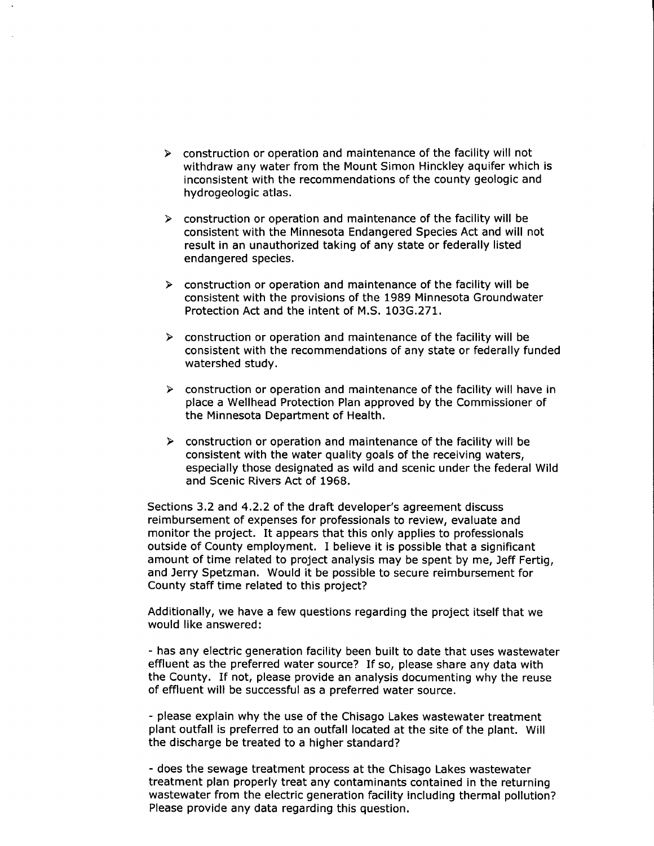- $\triangleright$  construction or operation and maintenance of the facility will not withdraw any water from the Mount Simon Hinckley aquifer which is inconsistent with the recommendations of the county geologic and hydrogeologic atlas.
- $\triangleright$  construction or operation and maintenance of the facility will be consistent with the Minnesota Endangered Species Act and will not result in an unauthorized taking of any state or federally listed endangered species.
- $\triangleright$  construction or operation and maintenance of the facility will be consistent with the provisions of the 1989 Minnesota Groundwater Protection Act and the intent of M.S. 103G.271.
- $\triangleright$  construction or operation and maintenance of the facility will be consistent with the recommendations of any state or federally funded watershed study.
- $\triangleright$  construction or operation and maintenance of the facility will have in place a Wellhead Protection Plan approved by the Commissioner of the Minnesota Department of Health.
- $\triangleright$  construction or operation and maintenance of the facility will be consistent with the water quality goals of the receiving waters, especially those designated as wild and scenic under the federal Wild and Scenic Rivers Act of 1968.

Sections 3.2 and 4.2.2 of the draft developer's agreement discuss reimbursement of expenses for professionals to review, evaluate and monitor the project. It appears that this only applies to professionals outside of County employment. I believe it is possible that a significant amount of time related to project analysis may be spent by me, Jeff Fertig, and Jerry Spetzman. Would it be possible to secure reimbursement for County staff time related to this project?

Additionally, we have a few questions regarding the project itself that we would like answered:

- has any electric generation facility been built to date that uses wastewater effluent as the preferred water source? If so, please share any data with the County. If not, please provide an analysis documenting why the reuse of effluent will be successful as a preferred water source.

- please explain why the use of the Chisago Lakes wastewater treatment plant outfall is preferred to an outfall located at the site of the plant. Will the discharge be treated to a higher standard?

- does the sewage treatment process at the Chisago Lakes wastewater treatment plan properly treat any contaminants contained in the returning wastewater from the electric generation facility including thermal pollution? Please provide any data regarding this question.